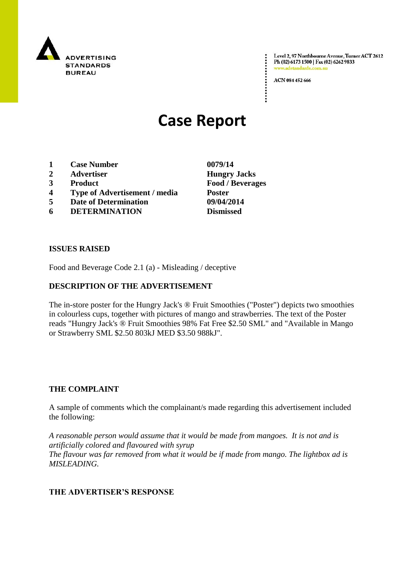

Level 2, 97 Northbourne Avenue, Turner ACT 2612 Ph (02) 6173 1500 | Fax (02) 6262 9833 www.adstandards.com.a

ACN 084 452 666

# **Case Report**

- **1 Case Number 0079/14**
- **2 Advertiser Hungry Jacks**
- **3 Product Food / Beverages**
- **4 Type of Advertisement / media Poster**
- **5 Date of Determination 09/04/2014**
- **6 DETERMINATION Dismissed**

**ISSUES RAISED**

Food and Beverage Code 2.1 (a) - Misleading / deceptive

### **DESCRIPTION OF THE ADVERTISEMENT**

The in-store poster for the Hungry Jack's ® Fruit Smoothies ("Poster") depicts two smoothies in colourless cups, together with pictures of mango and strawberries. The text of the Poster reads "Hungry Jack's ® Fruit Smoothies 98% Fat Free \$2.50 SML" and "Available in Mango or Strawberry SML \$2.50 803kJ MED \$3.50 988kJ".

#### **THE COMPLAINT**

A sample of comments which the complainant/s made regarding this advertisement included the following:

*A reasonable person would assume that it would be made from mangoes. It is not and is artificially colored and flavoured with syrup The flavour was far removed from what it would be if made from mango. The lightbox ad is MISLEADING.*

#### **THE ADVERTISER'S RESPONSE**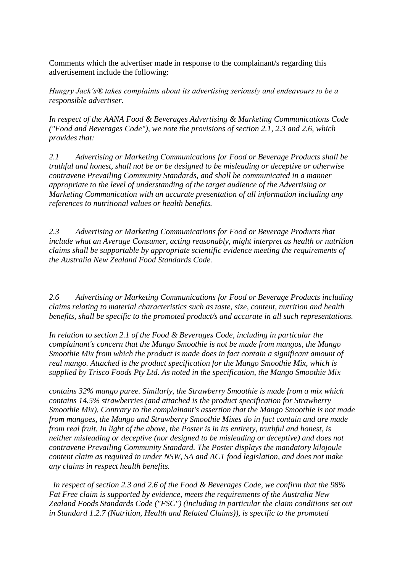Comments which the advertiser made in response to the complainant/s regarding this advertisement include the following:

*Hungry Jack's® takes complaints about its advertising seriously and endeavours to be a responsible advertiser.*

*In respect of the AANA Food & Beverages Advertising & Marketing Communications Code ("Food and Beverages Code"), we note the provisions of section 2.1, 2.3 and 2.6, which provides that:*

*2.1 Advertising or Marketing Communications for Food or Beverage Products shall be truthful and honest, shall not be or be designed to be misleading or deceptive or otherwise contravene Prevailing Community Standards, and shall be communicated in a manner appropriate to the level of understanding of the target audience of the Advertising or Marketing Communication with an accurate presentation of all information including any references to nutritional values or health benefits.*

*2.3 Advertising or Marketing Communications for Food or Beverage Products that include what an Average Consumer, acting reasonably, might interpret as health or nutrition claims shall be supportable by appropriate scientific evidence meeting the requirements of the Australia New Zealand Food Standards Code.*

*2.6 Advertising or Marketing Communications for Food or Beverage Products including claims relating to material characteristics such as taste, size, content, nutrition and health benefits, shall be specific to the promoted product/s and accurate in all such representations.*

*In relation to section 2.1 of the Food & Beverages Code, including in particular the complainant's concern that the Mango Smoothie is not be made from mangos, the Mango Smoothie Mix from which the product is made does in fact contain a significant amount of real mango. Attached is the product specification for the Mango Smoothie Mix, which is supplied by Trisco Foods Pty Ltd. As noted in the specification, the Mango Smoothie Mix*

*contains 32% mango puree. Similarly, the Strawberry Smoothie is made from a mix which contains 14.5% strawberries (and attached is the product specification for Strawberry Smoothie Mix). Contrary to the complainant's assertion that the Mango Smoothie is not made from mangoes, the Mango and Strawberry Smoothie Mixes do in fact contain and are made from real fruit. In light of the above, the Poster is in its entirety, truthful and honest, is neither misleading or deceptive (nor designed to be misleading or deceptive) and does not contravene Prevailing Community Standard. The Poster displays the mandatory kilojoule content claim as required in under NSW, SA and ACT food legislation, and does not make any claims in respect health benefits.*

 *In respect of section 2.3 and 2.6 of the Food & Beverages Code, we confirm that the 98% Fat Free claim is supported by evidence, meets the requirements of the Australia New Zealand Foods Standards Code ("FSC") (including in particular the claim conditions set out in Standard 1.2.7 (Nutrition, Health and Related Claims)), is specific to the promoted*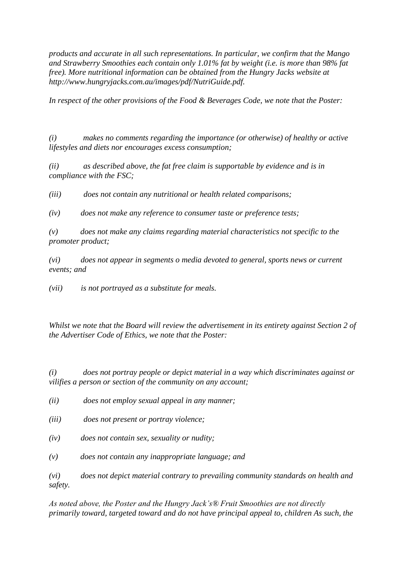*products and accurate in all such representations. In particular, we confirm that the Mango and Strawberry Smoothies each contain only 1.01% fat by weight (i.e. is more than 98% fat free). More nutritional information can be obtained from the Hungry Jacks website at http://www.hungryjacks.com.au/images/pdf/NutriGuide.pdf.*

*In respect of the other provisions of the Food & Beverages Code, we note that the Poster:*

*(i) makes no comments regarding the importance (or otherwise) of healthy or active lifestyles and diets nor encourages excess consumption;*

*(ii) as described above, the fat free claim is supportable by evidence and is in compliance with the FSC;*

*(iii) does not contain any nutritional or health related comparisons;*

*(iv) does not make any reference to consumer taste or preference tests;*

*(v) does not make any claims regarding material characteristics not specific to the promoter product;*

*(vi) does not appear in segments o media devoted to general, sports news or current events; and*

*(vii) is not portrayed as a substitute for meals.*

*Whilst we note that the Board will review the advertisement in its entirety against Section 2 of the Advertiser Code of Ethics, we note that the Poster:*

*(i) does not portray people or depict material in a way which discriminates against or vilifies a person or section of the community on any account;*

- *(ii) does not employ sexual appeal in any manner;*
- *(iii) does not present or portray violence;*
- *(iv) does not contain sex, sexuality or nudity;*
- *(v) does not contain any inappropriate language; and*

*(vi) does not depict material contrary to prevailing community standards on health and safety.*

*As noted above, the Poster and the Hungry Jack's® Fruit Smoothies are not directly primarily toward, targeted toward and do not have principal appeal to, children As such, the*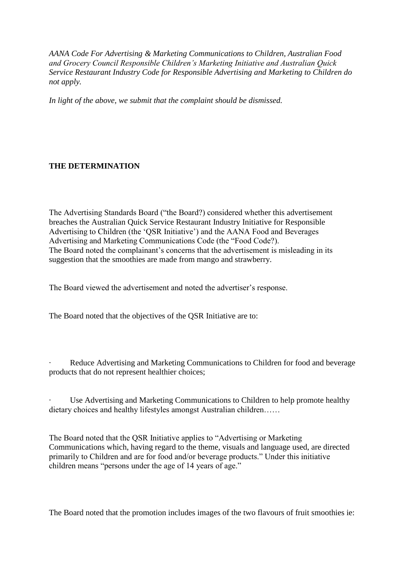*AANA Code For Advertising & Marketing Communications to Children, Australian Food and Grocery Council Responsible Children's Marketing Initiative and Australian Quick Service Restaurant Industry Code for Responsible Advertising and Marketing to Children do not apply.*

*In light of the above, we submit that the complaint should be dismissed.*

## **THE DETERMINATION**

The Advertising Standards Board ("the Board?) considered whether this advertisement breaches the Australian Quick Service Restaurant Industry Initiative for Responsible Advertising to Children (the "QSR Initiative") and the AANA Food and Beverages Advertising and Marketing Communications Code (the "Food Code?). The Board noted the complainant's concerns that the advertisement is misleading in its suggestion that the smoothies are made from mango and strawberry.

The Board viewed the advertisement and noted the advertiser"s response.

The Board noted that the objectives of the QSR Initiative are to:

Reduce Advertising and Marketing Communications to Children for food and beverage products that do not represent healthier choices;

Use Advertising and Marketing Communications to Children to help promote healthy dietary choices and healthy lifestyles amongst Australian children……

The Board noted that the QSR Initiative applies to "Advertising or Marketing Communications which, having regard to the theme, visuals and language used, are directed primarily to Children and are for food and/or beverage products." Under this initiative children means "persons under the age of 14 years of age."

The Board noted that the promotion includes images of the two flavours of fruit smoothies ie: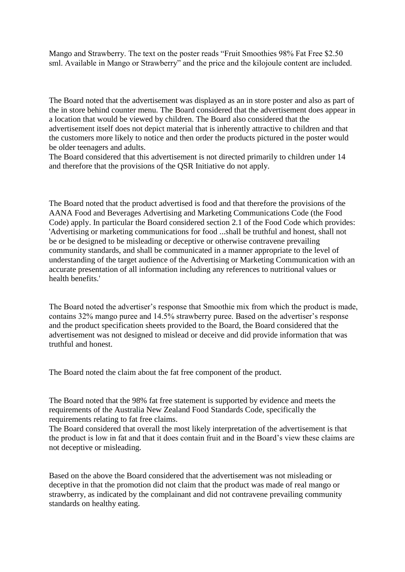Mango and Strawberry. The text on the poster reads "Fruit Smoothies 98% Fat Free \$2.50 sml. Available in Mango or Strawberry" and the price and the kilojoule content are included.

The Board noted that the advertisement was displayed as an in store poster and also as part of the in store behind counter menu. The Board considered that the advertisement does appear in a location that would be viewed by children. The Board also considered that the advertisement itself does not depict material that is inherently attractive to children and that the customers more likely to notice and then order the products pictured in the poster would be older teenagers and adults.

The Board considered that this advertisement is not directed primarily to children under 14 and therefore that the provisions of the QSR Initiative do not apply.

The Board noted that the product advertised is food and that therefore the provisions of the AANA Food and Beverages Advertising and Marketing Communications Code (the Food Code) apply. In particular the Board considered section 2.1 of the Food Code which provides: 'Advertising or marketing communications for food ...shall be truthful and honest, shall not be or be designed to be misleading or deceptive or otherwise contravene prevailing community standards, and shall be communicated in a manner appropriate to the level of understanding of the target audience of the Advertising or Marketing Communication with an accurate presentation of all information including any references to nutritional values or health benefits.'

The Board noted the advertiser"s response that Smoothie mix from which the product is made, contains 32% mango puree and 14.5% strawberry puree. Based on the advertiser"s response and the product specification sheets provided to the Board, the Board considered that the advertisement was not designed to mislead or deceive and did provide information that was truthful and honest.

The Board noted the claim about the fat free component of the product.

The Board noted that the 98% fat free statement is supported by evidence and meets the requirements of the Australia New Zealand Food Standards Code, specifically the requirements relating to fat free claims.

The Board considered that overall the most likely interpretation of the advertisement is that the product is low in fat and that it does contain fruit and in the Board"s view these claims are not deceptive or misleading.

Based on the above the Board considered that the advertisement was not misleading or deceptive in that the promotion did not claim that the product was made of real mango or strawberry, as indicated by the complainant and did not contravene prevailing community standards on healthy eating.